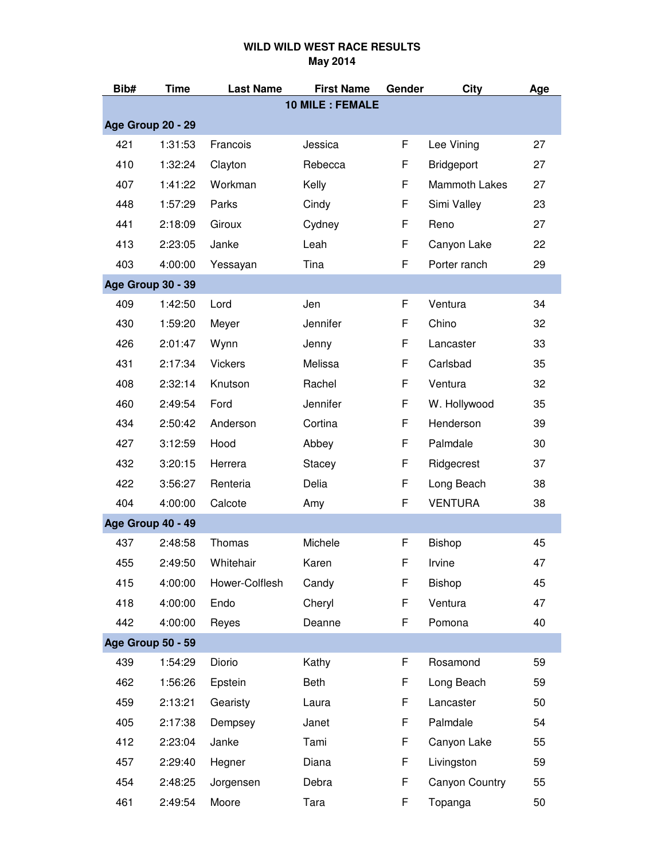| Bib#                     | Time    | <b>Last Name</b> | <b>First Name</b>      | Gender | City                 | Age |
|--------------------------|---------|------------------|------------------------|--------|----------------------|-----|
|                          |         |                  | <b>10 MILE: FEMALE</b> |        |                      |     |
| Age Group 20 - 29        |         |                  |                        |        |                      |     |
| 421                      | 1:31:53 | Francois         | Jessica                | F      | Lee Vining           | 27  |
| 410                      | 1:32:24 | Clayton          | Rebecca                | F      | <b>Bridgeport</b>    | 27  |
| 407                      | 1:41:22 | Workman          | Kelly                  | F      | <b>Mammoth Lakes</b> | 27  |
| 448                      | 1:57:29 | Parks            | Cindy                  | F      | Simi Valley          | 23  |
| 441                      | 2:18:09 | Giroux           | Cydney                 | F      | Reno                 | 27  |
| 413                      | 2:23:05 | Janke            | Leah                   | F      | Canyon Lake          | 22  |
| 403                      | 4:00:00 | Yessayan         | Tina                   | F      | Porter ranch         | 29  |
| <b>Age Group 30 - 39</b> |         |                  |                        |        |                      |     |
| 409                      | 1:42:50 | Lord             | Jen                    | F      | Ventura              | 34  |
| 430                      | 1:59:20 | Meyer            | Jennifer               | F      | Chino                | 32  |
| 426                      | 2:01:47 | Wynn             | Jenny                  | F      | Lancaster            | 33  |
| 431                      | 2:17:34 | <b>Vickers</b>   | Melissa                | F      | Carlsbad             | 35  |
| 408                      | 2:32:14 | Knutson          | Rachel                 | F      | Ventura              | 32  |
| 460                      | 2:49:54 | Ford             | Jennifer               | F      | W. Hollywood         | 35  |
| 434                      | 2:50:42 | Anderson         | Cortina                | F      | Henderson            | 39  |
| 427                      | 3:12:59 | Hood             | Abbey                  | F      | Palmdale             | 30  |
| 432                      | 3:20:15 | Herrera          | Stacey                 | F      | Ridgecrest           | 37  |
| 422                      | 3:56:27 | Renteria         | Delia                  | F      | Long Beach           | 38  |
| 404                      | 4:00:00 | Calcote          | Amy                    | F      | <b>VENTURA</b>       | 38  |
| <b>Age Group 40 - 49</b> |         |                  |                        |        |                      |     |
| 437                      | 2:48:58 | Thomas           | Michele                | F      | Bishop               | 45  |
| 455                      | 2:49:50 | Whitehair        | Karen                  | F      | Irvine               | 47  |
| 415                      | 4:00:00 | Hower-Colflesh   | Candy                  | F      | <b>Bishop</b>        | 45  |
| 418                      | 4:00:00 | Endo             | Cheryl                 | F      | Ventura              | 47  |
| 442                      | 4:00:00 | Reyes            | Deanne                 | F      | Pomona               | 40  |
| Age Group 50 - 59        |         |                  |                        |        |                      |     |
| 439                      | 1:54:29 | Diorio           | Kathy                  | F      | Rosamond             | 59  |
| 462                      | 1:56:26 | Epstein          | Beth                   | F      | Long Beach           | 59  |
| 459                      | 2:13:21 | Gearisty         | Laura                  | F      | Lancaster            | 50  |
| 405                      | 2:17:38 | Dempsey          | Janet                  | F      | Palmdale             | 54  |
| 412                      | 2:23:04 | Janke            | Tami                   | F      | Canyon Lake          | 55  |
| 457                      | 2:29:40 | Hegner           | Diana                  | F      | Livingston           | 59  |
| 454                      | 2:48:25 | Jorgensen        | Debra                  | F      | Canyon Country       | 55  |
| 461                      | 2:49:54 | Moore            | Tara                   | F      | Topanga              | 50  |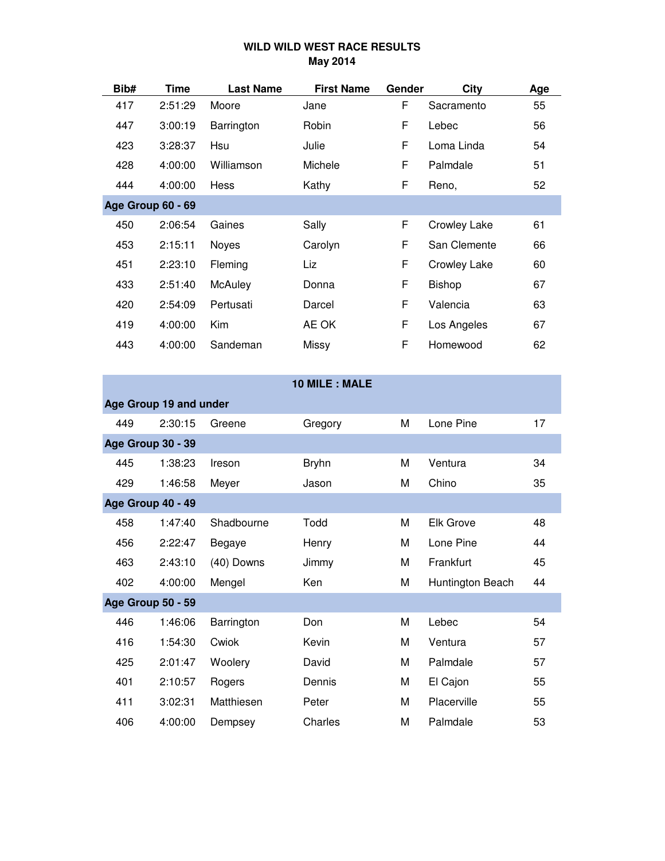| Bib# | Time                     | <b>Last Name</b> | <b>First Name</b> | Gender | City                | Age |
|------|--------------------------|------------------|-------------------|--------|---------------------|-----|
| 417  | 2:51:29                  | Moore            | Jane              | F      | Sacramento          | 55  |
| 447  | 3:00:19                  | Barrington       | Robin             | F      | Lebec               | 56  |
| 423  | 3:28:37                  | Hsu              | Julie             | F      | Loma Linda          | 54  |
| 428  | 4:00:00                  | Williamson       | Michele           | F      | Palmdale            | 51  |
| 444  | 4:00:00                  | <b>Hess</b>      | Kathy             | F      | Reno,               | 52  |
|      | <b>Age Group 60 - 69</b> |                  |                   |        |                     |     |
| 450  | 2:06:54                  | Gaines           | Sally             | F      | <b>Crowley Lake</b> | 61  |
| 453  | 2:15:11                  | Noyes            | Carolyn           | F      | San Clemente        | 66  |
| 451  | 2:23:10                  | <b>Fleming</b>   | Liz               | F      | <b>Crowley Lake</b> | 60  |
| 433  | 2:51:40                  | <b>McAuley</b>   | Donna             | F      | <b>Bishop</b>       | 67  |
| 420  | 2:54:09                  | Pertusati        | Darcel            | F      | Valencia            | 63  |
| 419  | 4:00:00                  | Kim              | AE OK             | F      | Los Angeles         | 67  |
| 443  | 4:00:00                  | Sandeman         | Missy             | F      | Homewood            | 62  |
|      |                          |                  |                   |        |                     |     |

|     |                          |            | 10 MILE : MALE |   |                  |    |
|-----|--------------------------|------------|----------------|---|------------------|----|
|     | Age Group 19 and under   |            |                |   |                  |    |
| 449 | 2:30:15                  | Greene     | Gregory        | M | Lone Pine        | 17 |
|     | <b>Age Group 30 - 39</b> |            |                |   |                  |    |
| 445 | 1:38:23                  | Ireson     | <b>Bryhn</b>   | M | Ventura          | 34 |
| 429 | 1:46:58                  | Meyer      | Jason          | M | Chino            | 35 |
|     | Age Group 40 - 49        |            |                |   |                  |    |
| 458 | 1:47:40                  | Shadbourne | Todd           | M | <b>Elk Grove</b> | 48 |
| 456 | 2:22:47                  | Begaye     | Henry          | M | Lone Pine        | 44 |
| 463 | 2:43:10                  | (40) Downs | Jimmy          | M | Frankfurt        | 45 |
| 402 | 4:00:00                  | Mengel     | Ken            | M | Huntington Beach | 44 |
|     | <b>Age Group 50 - 59</b> |            |                |   |                  |    |
| 446 | 1:46:06                  | Barrington | Don            | M | Lebec            | 54 |
| 416 | 1:54:30                  | Cwiok      | Kevin          | M | Ventura          | 57 |
| 425 | 2:01:47                  | Woolery    | David          | M | Palmdale         | 57 |
| 401 | 2:10:57                  | Rogers     | Dennis         | M | El Cajon         | 55 |
| 411 | 3:02:31                  | Matthiesen | Peter          | M | Placerville      | 55 |
| 406 | 4:00:00                  | Dempsey    | Charles        | М | Palmdale         | 53 |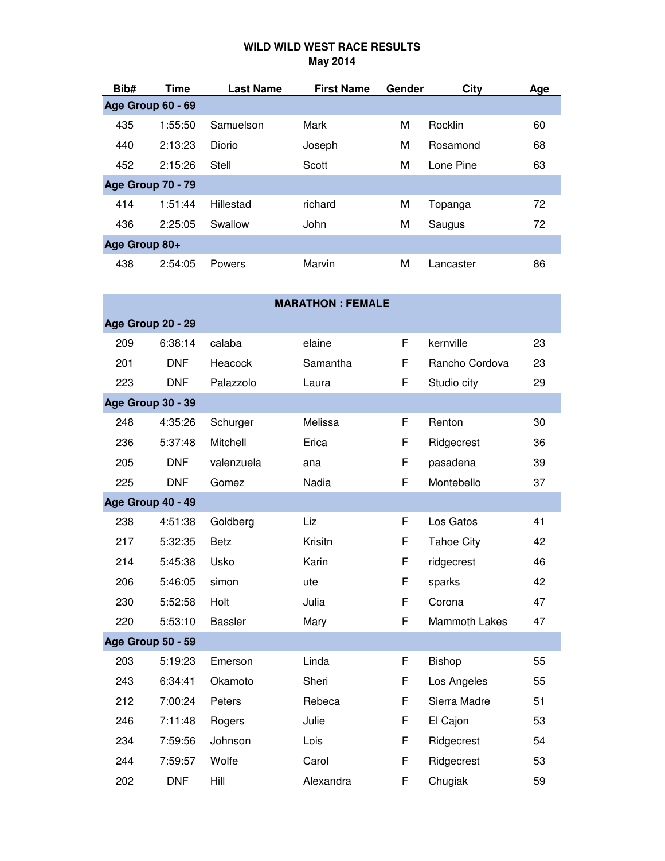| Bib#          | Time                     | <b>Last Name</b> | <b>First Name</b> | Gender | City      | Age |
|---------------|--------------------------|------------------|-------------------|--------|-----------|-----|
|               | Age Group 60 - 69        |                  |                   |        |           |     |
| 435           | 1:55:50                  | Samuelson        | Mark              | M      | Rocklin   | 60  |
| 440           | 2:13:23                  | Diorio           | Joseph            | M      | Rosamond  | 68  |
| 452           | 2:15:26                  | Stell            | Scott             | M      | Lone Pine | 63  |
|               | <b>Age Group 70 - 79</b> |                  |                   |        |           |     |
| 414           | 1:51:44                  | Hillestad        | richard           | M      | Topanga   | 72  |
| 436           | 2:25:05                  | Swallow          | John              | M      | Saugus    | 72  |
| Age Group 80+ |                          |                  |                   |        |           |     |
| 438           | 2:54:05                  | Powers           | Marvin            | M      | Lancaster | 86  |

|     |                          |                | <b>MARATHON: FEMALE</b> |   |                      |    |
|-----|--------------------------|----------------|-------------------------|---|----------------------|----|
|     | Age Group 20 - 29        |                |                         |   |                      |    |
| 209 | 6:38:14                  | calaba         | elaine                  | F | kernville            | 23 |
| 201 | <b>DNF</b>               | Heacock        | Samantha                | F | Rancho Cordova       | 23 |
| 223 | <b>DNF</b>               | Palazzolo      | Laura                   | F | Studio city          | 29 |
|     | Age Group 30 - 39        |                |                         |   |                      |    |
| 248 | 4:35:26                  | Schurger       | Melissa                 | F | Renton               | 30 |
| 236 | 5:37:48                  | Mitchell       | Erica                   | F | Ridgecrest           | 36 |
| 205 | <b>DNF</b>               | valenzuela     | ana                     | F | pasadena             | 39 |
| 225 | <b>DNF</b>               | Gomez          | Nadia                   | F | Montebello           | 37 |
|     | Age Group 40 - 49        |                |                         |   |                      |    |
| 238 | 4:51:38                  | Goldberg       | Liz                     | F | Los Gatos            | 41 |
| 217 | 5:32:35                  | <b>Betz</b>    | Krisitn                 | F | <b>Tahoe City</b>    | 42 |
| 214 | 5:45:38                  | Usko           | Karin                   | F | ridgecrest           | 46 |
| 206 | 5:46:05                  | simon          | ute                     | F | sparks               | 42 |
| 230 | 5:52:58                  | Holt           | Julia                   | F | Corona               | 47 |
| 220 | 5:53:10                  | <b>Bassler</b> | Mary                    | F | <b>Mammoth Lakes</b> | 47 |
|     | <b>Age Group 50 - 59</b> |                |                         |   |                      |    |
| 203 | 5:19:23                  | Emerson        | Linda                   | F | Bishop               | 55 |
| 243 | 6:34:41                  | Okamoto        | Sheri                   | F | Los Angeles          | 55 |
| 212 | 7:00:24                  | Peters         | Rebeca                  | F | Sierra Madre         | 51 |
| 246 | 7:11:48                  | Rogers         | Julie                   | F | El Cajon             | 53 |
| 234 | 7:59:56                  | Johnson        | Lois                    | F | Ridgecrest           | 54 |
| 244 | 7:59:57                  | Wolfe          | Carol                   | F | Ridgecrest           | 53 |
| 202 | <b>DNF</b>               | Hill           | Alexandra               | F | Chugiak              | 59 |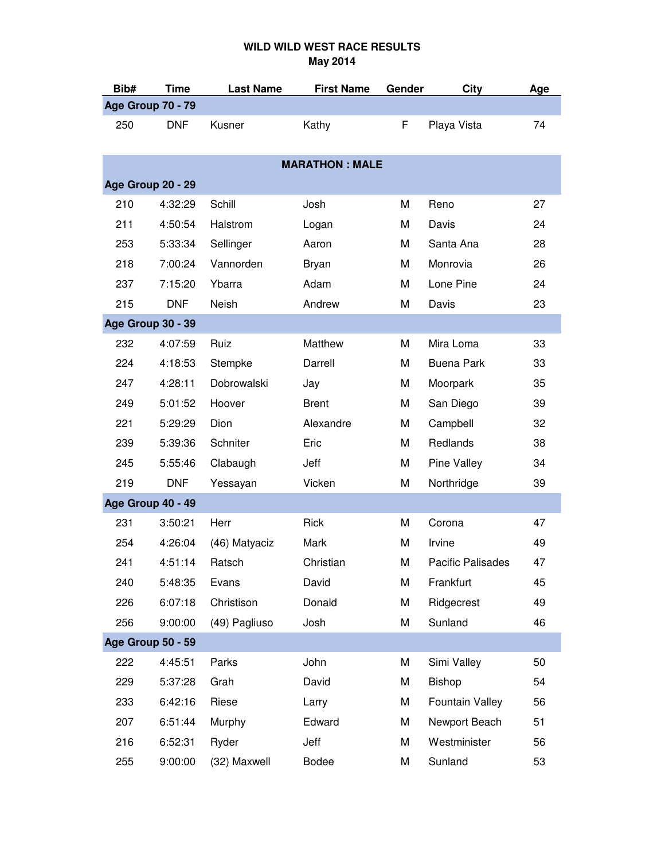| Bib#              | <b>Time</b>              | <b>Last Name</b> | <b>First Name</b>     | Gender | <b>City</b>              | Age |
|-------------------|--------------------------|------------------|-----------------------|--------|--------------------------|-----|
| Age Group 70 - 79 |                          |                  |                       |        |                          |     |
| 250               | <b>DNF</b>               | Kusner           | Kathy                 | F      | Playa Vista              | 74  |
|                   |                          |                  | <b>MARATHON: MALE</b> |        |                          |     |
|                   |                          |                  |                       |        |                          |     |
|                   | Age Group 20 - 29        |                  |                       |        |                          |     |
| 210               | 4:32:29                  | Schill           | Josh                  | M      | Reno                     | 27  |
| 211               | 4:50:54                  | Halstrom         | Logan                 | M      | Davis                    | 24  |
| 253               | 5:33:34                  | Sellinger        | Aaron                 | M      | Santa Ana                | 28  |
| 218               | 7:00:24                  | Vannorden        | Bryan                 | M      | Monrovia                 | 26  |
| 237               | 7:15:20                  | Ybarra           | Adam                  | M      | Lone Pine                | 24  |
| 215               | <b>DNF</b>               | <b>Neish</b>     | Andrew                | M      | Davis                    | 23  |
|                   | Age Group 30 - 39        |                  |                       |        |                          |     |
| 232               | 4:07:59                  | Ruiz             | Matthew               | M      | Mira Loma                | 33  |
| 224               | 4:18:53                  | Stempke          | Darrell               | M      | Buena Park               | 33  |
| 247               | 4:28:11                  | Dobrowalski      | Jay                   | M      | Moorpark                 | 35  |
| 249               | 5:01:52                  | Hoover           | <b>Brent</b>          | M      | San Diego                | 39  |
| 221               | 5:29:29                  | Dion             | Alexandre             | M      | Campbell                 | 32  |
| 239               | 5:39:36                  | Schniter         | Eric                  | M      | Redlands                 | 38  |
| 245               | 5:55:46                  | Clabaugh         | Jeff                  | M      | Pine Valley              | 34  |
| 219               | <b>DNF</b>               | Yessayan         | Vicken                | M      | Northridge               | 39  |
|                   | Age Group 40 - 49        |                  |                       |        |                          |     |
| 231               | 3:50:21                  | Herr             | <b>Rick</b>           | M      | Corona                   | 47  |
| 254               | 4:26:04                  | (46) Matyaciz    | Mark                  | M      | Irvine                   | 49  |
| 241               | 4:51:14                  | Ratsch           | Christian             | M      | <b>Pacific Palisades</b> | 47  |
| 240               | 5:48:35                  | Evans            | David                 | M      | Frankfurt                | 45  |
| 226               | 6:07:18                  | Christison       | Donald                | M      | Ridgecrest               | 49  |
| 256               | 9:00:00                  | (49) Pagliuso    | Josh                  | M      | Sunland                  | 46  |
|                   | <b>Age Group 50 - 59</b> |                  |                       |        |                          |     |
| 222               | 4:45:51                  | Parks            | John                  | M      | Simi Valley              | 50  |
| 229               | 5:37:28                  | Grah             | David                 | M      | Bishop                   | 54  |
| 233               | 6:42:16                  | Riese            | Larry                 | M      | Fountain Valley          | 56  |
| 207               | 6:51:44                  | Murphy           | Edward                | M      | Newport Beach            | 51  |
| 216               | 6:52:31                  | Ryder            | Jeff                  | M      | Westminister             | 56  |
| 255               | 9:00:00                  | (32) Maxwell     | <b>Bodee</b>          | M      | Sunland                  | 53  |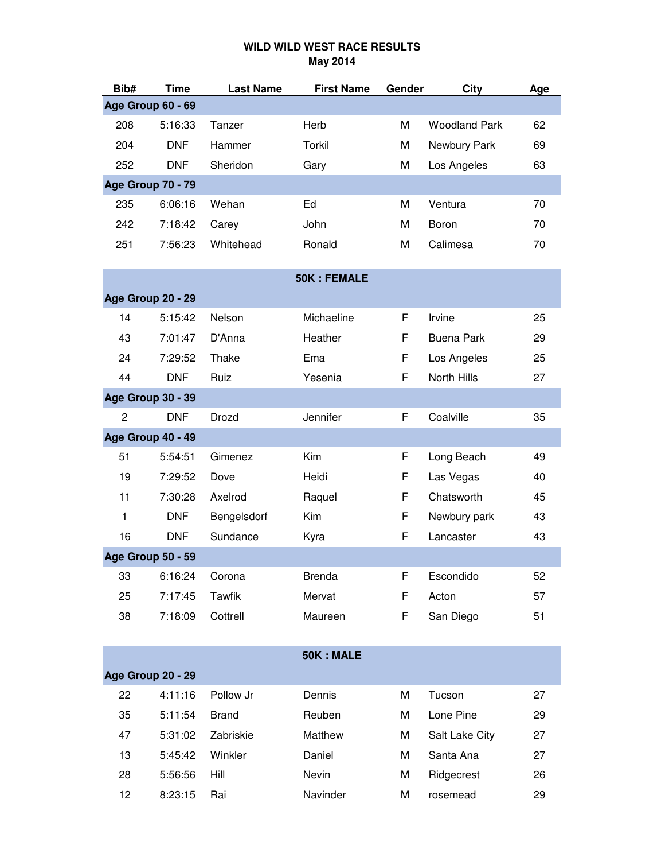| Bib#           | <b>Time</b>              | <b>Last Name</b> | <b>First Name</b>  | Gender | City                 | Age |
|----------------|--------------------------|------------------|--------------------|--------|----------------------|-----|
|                | <b>Age Group 60 - 69</b> |                  |                    |        |                      |     |
| 208            | 5:16:33                  | Tanzer           | Herb               | M      | <b>Woodland Park</b> | 62  |
| 204            | <b>DNF</b>               | Hammer           | Torkil             | M      | Newbury Park         | 69  |
| 252            | <b>DNF</b>               | Sheridon         | Gary               | M      | Los Angeles          | 63  |
|                | Age Group 70 - 79        |                  |                    |        |                      |     |
| 235            | 6:06:16                  | Wehan            | Ed                 | M      | Ventura              | 70  |
| 242            | 7:18:42                  | Carey            | John               | M      | Boron                | 70  |
| 251            | 7:56:23                  | Whitehead        | Ronald             | M      | Calimesa             | 70  |
|                |                          |                  |                    |        |                      |     |
|                |                          |                  | <b>50K: FEMALE</b> |        |                      |     |
|                | Age Group 20 - 29        |                  |                    |        |                      |     |
| 14             | 5:15:42                  | Nelson           | Michaeline         | F      | Irvine               | 25  |
| 43             | 7:01:47                  | D'Anna           | Heather            | F      | <b>Buena Park</b>    | 29  |
| 24             | 7:29:52                  | Thake            | Ema                | F      | Los Angeles          | 25  |
| 44             | <b>DNF</b>               | Ruiz             | Yesenia            | F      | North Hills          | 27  |
|                | <b>Age Group 30 - 39</b> |                  |                    |        |                      |     |
| $\overline{c}$ | <b>DNF</b>               | Drozd            | Jennifer           | F      | Coalville            | 35  |
|                | Age Group 40 - 49        |                  |                    |        |                      |     |
| 51             | 5:54:51                  | Gimenez          | Kim                | F      | Long Beach           | 49  |
| 19             | 7:29:52                  | Dove             | Heidi              | F      | Las Vegas            | 40  |
| 11             | 7:30:28                  | Axelrod          | Raquel             | F      | Chatsworth           | 45  |
| $\mathbf{1}$   | <b>DNF</b>               | Bengelsdorf      | Kim                | F      | Newbury park         | 43  |
| 16             | <b>DNF</b>               | Sundance         | Kyra               | F      | Lancaster            | 43  |
|                | <b>Age Group 50 - 59</b> |                  |                    |        |                      |     |
| 33             | 6:16:24                  | Corona           | <b>Brenda</b>      | F      | Escondido            | 52  |
| 25             | 7:17:45                  | <b>Tawfik</b>    | Mervat             | F      | Acton                | 57  |
| 38             | 7:18:09                  | Cottrell         | Maureen            | F      | San Diego            | 51  |
|                |                          |                  |                    |        |                      |     |
|                |                          |                  | 50K: MALE          |        |                      |     |
|                | Age Group 20 - 29        |                  |                    |        |                      |     |
| 22             | 4:11:16                  | Pollow Jr        | Dennis             | M      | Tucson               | 27  |
| 35             | 5:11:54                  | <b>Brand</b>     | Reuben             | M      | Lone Pine            | 29  |
| 47             | 5:31:02                  | Zabriskie        | Matthew            | M      | Salt Lake City       | 27  |
| 13             | 5:45:42                  | Winkler          | Daniel             | M      | Santa Ana            | 27  |
| 28             | 5:56:56                  | Hill             | Nevin              | M      | Ridgecrest           | 26  |
| 12             | 8:23:15                  | Rai              | Navinder           | M      | rosemead             | 29  |